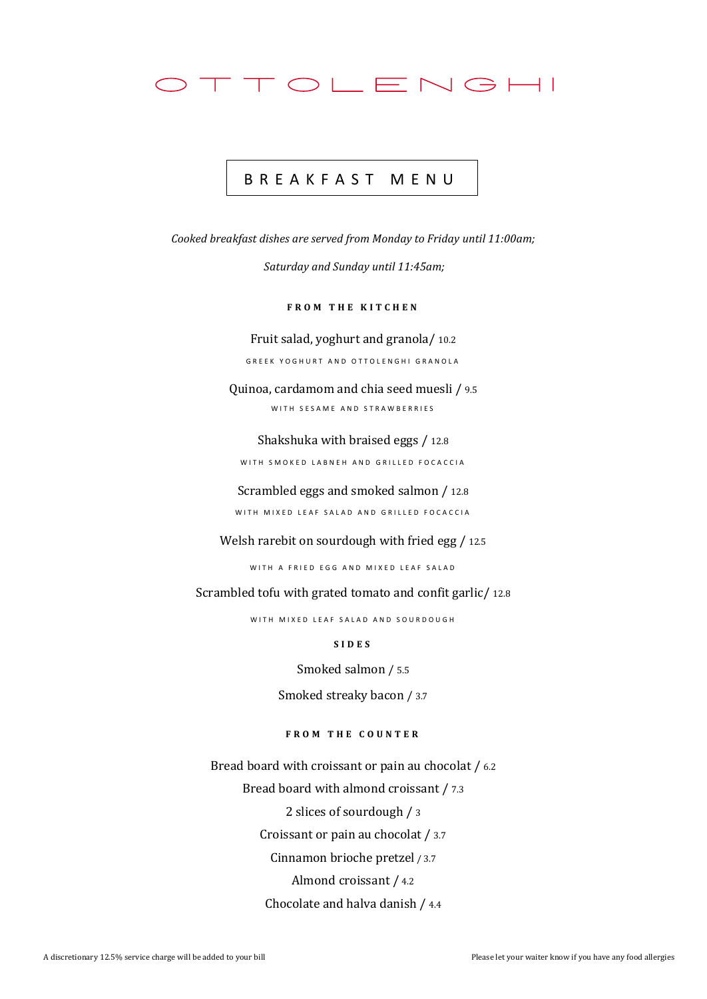

## B R E A K F A S T M E N U

*Cooked breakfast dishes are served from Monday to Friday until 11:00am;*

*Saturday and Sunday until 11:45am;*

**FROM THE KITCHEN** 

Fruit salad, yoghurt and granola/ 10.2 GREEK YOGHURT AND OTTOLENGHI GRANOLA

Quinoa, cardamom and chia seed muesli / 9.5 WITH SESAME AND STRAWBERRIES

Shakshuka with braised eggs / 12.8 WITH SMOKED LABNEH AND GRILLED FOCACCIA

Scrambled eggs and smoked salmon / 12.8 WITH MIXED LEAF SALAD AND GRILLED FOCACCIA

Welsh rarebit on sourdough with fried egg / 12.5

WITH A FRIED EGG AND MIXED LEAF SALAD

Scrambled tofu with grated tomato and confit garlic/ 12.8

WITH MIXED LEAF SALAD AND SOURDOUGH

**S I D E S**

Smoked salmon / 5.5

Smoked streaky bacon / 3.7

**F R O M T H E C O U N T E R**

Bread board with croissant or pain au chocolat / 6.2 Bread board with almond croissant / 7.3 2 slices of sourdough / 3 Croissant or pain au chocolat / 3.7 Cinnamon brioche pretzel / 3.7 Almond croissant / 4.2 Chocolate and halva danish / 4.4